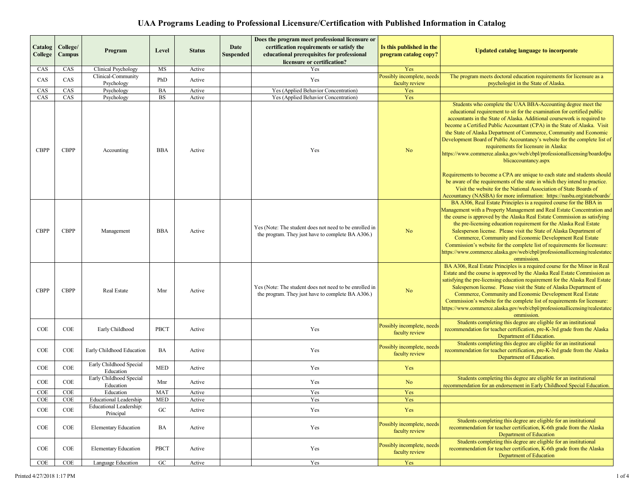| Catalog     | College/      |                                      |            |               | Date             | Does the program meet professional licensure or<br>certification requirements or satisfy the                | Is this published in the                     |                                                                                                                                                                                                                                                                                                                                                                                                                                                                                                                                                                                                               |
|-------------|---------------|--------------------------------------|------------|---------------|------------------|-------------------------------------------------------------------------------------------------------------|----------------------------------------------|---------------------------------------------------------------------------------------------------------------------------------------------------------------------------------------------------------------------------------------------------------------------------------------------------------------------------------------------------------------------------------------------------------------------------------------------------------------------------------------------------------------------------------------------------------------------------------------------------------------|
| College     | <b>Campus</b> | Program                              | Level      | <b>Status</b> | <b>Suspended</b> | educational prerequisites for professional                                                                  | program catalog copy?                        | <b>Updated catalog language to incorporate</b>                                                                                                                                                                                                                                                                                                                                                                                                                                                                                                                                                                |
|             |               |                                      |            |               |                  | licensure or certification?                                                                                 |                                              |                                                                                                                                                                                                                                                                                                                                                                                                                                                                                                                                                                                                               |
| CAS         | CAS           | Clinical Psychology                  | MS         | Active        |                  | Yes                                                                                                         | Yes                                          |                                                                                                                                                                                                                                                                                                                                                                                                                                                                                                                                                                                                               |
| CAS         | CAS           | Clinical-Community<br>Psychology     | PhD        | Active        |                  | Yes                                                                                                         | Possibly incomplete, needs<br>faculty review | The program meets doctoral education requirements for licensure as a<br>psychologist in the State of Alaska.                                                                                                                                                                                                                                                                                                                                                                                                                                                                                                  |
| CAS         | CAS           | Psychology                           | BA         | Active        |                  | Yes (Applied Behavior Concentration)                                                                        | Yes                                          |                                                                                                                                                                                                                                                                                                                                                                                                                                                                                                                                                                                                               |
| CAS         | CAS           | Psychology                           | BS         | Active        |                  | Yes (Applied Behavior Concentration)                                                                        | Yes                                          |                                                                                                                                                                                                                                                                                                                                                                                                                                                                                                                                                                                                               |
| <b>CBPP</b> | <b>CBPP</b>   | Accounting                           | BBA        | Active        |                  | Yes                                                                                                         | N <sub>o</sub>                               | Students who complete the UAA BBA-Accounting degree meet the<br>educational requirement to sit for the examination for certified public<br>accountants in the State of Alaska. Additional coursework is required to<br>become a Certified Public Accountant (CPA) in the State of Alaska. Visit<br>the State of Alaska Department of Commerce, Community and Economic<br>Development Board of Public Accountancy's website for the complete list of<br>requirements for licensure in Alaska:<br>https://www.commerce.alaska.gov/web/cbpl/professionallicensing/boardofpu<br>blicaccountancy.aspx              |
|             |               |                                      |            |               |                  |                                                                                                             |                                              | Requirements to become a CPA are unique to each state and students should<br>be aware of the requirements of the state in which they intend to practice.<br>Visit the website for the National Association of State Boards of<br>Accountancy (NASBA) for more information: https://nasba.org/stateboards/                                                                                                                                                                                                                                                                                                     |
| <b>CBPP</b> | <b>CBPP</b>   | Management                           | <b>BBA</b> | Active        |                  | Yes (Note: The student does not need to be enrolled in<br>the program. They just have to complete BA A306.) | N <sub>o</sub>                               | BA A306, Real Estate Principles is a required course for the BBA in<br>Management with a Property Management and Real Estate Concentration and<br>the course is approved by the Alaska Real Estate Commission as satisfying<br>the pre-licensing education requirement for the Alaska Real Estate<br>Salesperson license. Please visit the State of Alaska Department of<br>Commerce, Community and Economic Development Real Estate<br>Commission's website for the complete list of requirements for licensure:<br>https://www.commerce.alaska.gov/web/cbpl/professionallicensing/realestatec<br>ommission. |
| <b>CBPP</b> | <b>CBPP</b>   | Real Estate                          | Mnr        | Active        |                  | Yes (Note: The student does not need to be enrolled in<br>the program. They just have to complete BA A306.) | N <sub>o</sub>                               | BA A306, Real Estate Principles is a required course for the Minor in Real<br>Estate and the course is approved by the Alaska Real Estate Commission as<br>satisfying the pre-licensing education requirement for the Alaska Real Estate<br>Salesperson license. Please visit the State of Alaska Department of<br>Commerce, Community and Economic Development Real Estate<br>Commission's website for the complete list of requirements for licensure:<br>https://www.commerce.alaska.gov/web/cbpl/professionallicensing/realestatec<br>ommission.                                                          |
| COE         | COE           | Early Childhood                      | PBCT       | Active        |                  | Yes                                                                                                         | Possibly incomplete, needs<br>faculty review | Students completing this degree are eligible for an institutional<br>recommendation for teacher certification, pre-K-3rd grade from the Alaska<br>Department of Education.                                                                                                                                                                                                                                                                                                                                                                                                                                    |
| COE         | COE           | Early Childhood Education            | BA         | Active        |                  | Yes                                                                                                         | Possibly incomplete, needs<br>faculty review | Students completing this degree are eligible for an institutional<br>recommendation for teacher certification, pre-K-3rd grade from the Alaska<br>Department of Education.                                                                                                                                                                                                                                                                                                                                                                                                                                    |
| COE         | COE           | Early Childhood Special<br>Education | <b>MED</b> | Active        |                  | Yes                                                                                                         | Yes                                          |                                                                                                                                                                                                                                                                                                                                                                                                                                                                                                                                                                                                               |
| COE         | COE           | Early Childhood Special<br>Education | Mnr        | Active        |                  | Yes                                                                                                         | N <sub>o</sub>                               | Students completing this degree are eligible for an institutional<br>recommendation for an endorsement in Early Childhood Special Education.                                                                                                                                                                                                                                                                                                                                                                                                                                                                  |
| <b>COE</b>  | COE           | Education                            | <b>MAT</b> | Active        |                  | Yes                                                                                                         | Yes                                          |                                                                                                                                                                                                                                                                                                                                                                                                                                                                                                                                                                                                               |
| COE         | COE           | <b>Educational Leadership</b>        | MED        | Active        |                  | Yes                                                                                                         | Yes                                          |                                                                                                                                                                                                                                                                                                                                                                                                                                                                                                                                                                                                               |
| COE         | COE           | Educational Leadership:<br>Principal | ${\rm GC}$ | Active        |                  | Yes                                                                                                         | Yes                                          |                                                                                                                                                                                                                                                                                                                                                                                                                                                                                                                                                                                                               |
| COE         | COE           | <b>Elementary Education</b>          | BA         | Active        |                  | Yes                                                                                                         | Possibly incomplete, needs<br>faculty review | Students completing this degree are eligible for an institutional<br>recommendation for teacher certification, K-6th grade from the Alaska<br>Department of Education                                                                                                                                                                                                                                                                                                                                                                                                                                         |
| COE         | COE           | <b>Elementary Education</b>          | PBCT       | Active        |                  | Yes                                                                                                         | Possibly incomplete, needs<br>faculty review | Students completing this degree are eligible for an institutional<br>recommendation for teacher certification, K-6th grade from the Alaska<br><b>Department of Education</b>                                                                                                                                                                                                                                                                                                                                                                                                                                  |
| COE         | COE           | Language Education                   | ${\rm GC}$ | Active        |                  | Yes                                                                                                         | Yes                                          |                                                                                                                                                                                                                                                                                                                                                                                                                                                                                                                                                                                                               |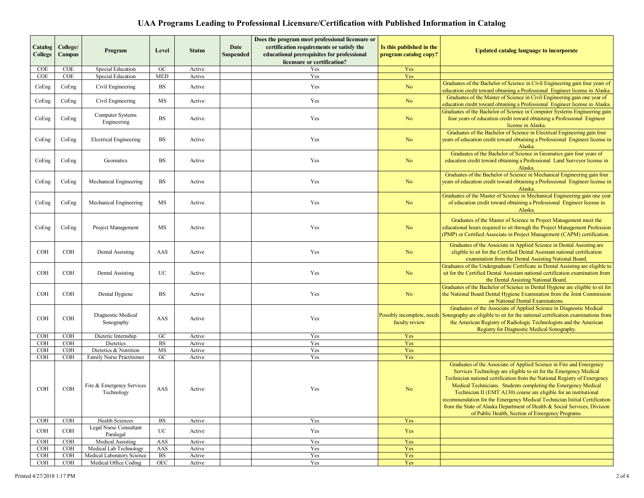|                          |                          |                                                                      |                          |                  |                          | Does the program meet professional licensure or                                         |                                                   |                                                                                                                                                                                                                                                                                                                                                                                                                                                                                                                                                                            |
|--------------------------|--------------------------|----------------------------------------------------------------------|--------------------------|------------------|--------------------------|-----------------------------------------------------------------------------------------|---------------------------------------------------|----------------------------------------------------------------------------------------------------------------------------------------------------------------------------------------------------------------------------------------------------------------------------------------------------------------------------------------------------------------------------------------------------------------------------------------------------------------------------------------------------------------------------------------------------------------------------|
| Catalog<br>College       | College/<br>Campus       | Program                                                              | Level                    | <b>Status</b>    | Date<br><b>Suspended</b> | certification requirements or satisfy the<br>educational prerequisites for professional | Is this published in the<br>program catalog copy? | <b>Updated catalog language to incorporate</b>                                                                                                                                                                                                                                                                                                                                                                                                                                                                                                                             |
|                          |                          |                                                                      |                          |                  |                          | licensure or certification?                                                             |                                                   |                                                                                                                                                                                                                                                                                                                                                                                                                                                                                                                                                                            |
| <b>COE</b><br>COE        | <b>COE</b><br>COE        | Special Education<br><b>Special Education</b>                        | ${\rm GC}$<br><b>MED</b> | Active<br>Active |                          | Yes<br>Yes                                                                              | Yes<br>Yes                                        |                                                                                                                                                                                                                                                                                                                                                                                                                                                                                                                                                                            |
|                          |                          |                                                                      |                          |                  |                          |                                                                                         |                                                   | Graduates of the Bachelor of Science in Civil Engineering gain four years of                                                                                                                                                                                                                                                                                                                                                                                                                                                                                               |
| CoEng                    | CoEng                    | Civil Engineering                                                    | BS                       | Active           |                          | Yes                                                                                     | N <sub>o</sub>                                    | education credit toward obtaining a Professional Engineer license in Alaska.                                                                                                                                                                                                                                                                                                                                                                                                                                                                                               |
|                          |                          |                                                                      |                          |                  |                          |                                                                                         |                                                   | Graduates of the Master of Science in Civil Engineering gain one year of                                                                                                                                                                                                                                                                                                                                                                                                                                                                                                   |
| CoEng                    | CoEng                    | Civil Engineering                                                    | MS                       | Active           |                          | Yes                                                                                     | N <sub>o</sub>                                    | education credit toward obtaining a Professional Engineer license in Alaska.                                                                                                                                                                                                                                                                                                                                                                                                                                                                                               |
| CoEng                    | CoEng                    | Computer Systems<br>Engineering                                      | <b>BS</b>                | Active           |                          | Yes                                                                                     | N <sub>o</sub>                                    | Graduates of the Bachelor of Science in Computer Systems Engineering gain<br>four years of education credit toward obtaining a Professional Engineer<br>license in Alaska.                                                                                                                                                                                                                                                                                                                                                                                                 |
| CoEng                    | CoEng                    | <b>Electrical Engineering</b>                                        | BS                       | Active           |                          | Yes                                                                                     | N <sub>o</sub>                                    | Graduates of the Bachelor of Science in Electrical Engineering gain four<br>years of education credit toward obtaining a Professional Engineer license in<br>Alaska.                                                                                                                                                                                                                                                                                                                                                                                                       |
| CoEng                    | CoEng                    | Geomatics                                                            | BS                       | Active           |                          | Yes                                                                                     | N <sub>o</sub>                                    | Graduates of the Bachelor of Science in Geomatics gain four years of<br>education credit toward obtaining a Professional Land Surveyor license in<br>Alaska.                                                                                                                                                                                                                                                                                                                                                                                                               |
| CoEng                    | CoEng                    | Mechanical Engineering                                               | BS                       | Active           |                          | Yes                                                                                     | N <sub>o</sub>                                    | Graduates of the Bachelor of Science in Mechanical Engineering gain four<br>years of education credit toward obtaining a Professional Engineer license in<br>Alaska.                                                                                                                                                                                                                                                                                                                                                                                                       |
| CoEng                    | CoEng                    | Mechanical Engineering                                               | MS                       | Active           |                          | Yes                                                                                     | N <sub>o</sub>                                    | Graduates of the Master of Science in Mechanical Engineering gain one year<br>of education credit toward obtaining a Professional Engineer license in<br>Alaska.                                                                                                                                                                                                                                                                                                                                                                                                           |
| CoEng                    | CoEng                    | Project Management                                                   | MS                       | Active           |                          | Yes                                                                                     | N <sub>o</sub>                                    | Graduates of the Master of Science in Project Management meet the<br>educational hours required to sit through the Project Management Profession<br>(PMP) or Certified Associate in Project Management (CAPM) certification.                                                                                                                                                                                                                                                                                                                                               |
| <b>COH</b>               | <b>COH</b>               | Dental Assisting                                                     | AAS                      | Active           |                          | Yes                                                                                     | N <sub>o</sub>                                    | Graduates of the Associate in Applied Science in Dental Assisting are<br>eligible to sit for the Certified Dental Assistant national certification<br>examination from the Dental Assisting National Board.                                                                                                                                                                                                                                                                                                                                                                |
| <b>COH</b>               | <b>COH</b>               | Dental Assisting                                                     | <b>UC</b>                | Active           |                          | Yes                                                                                     | N <sub>o</sub>                                    | Graduates of the Undergraduate Certificate in Dental Assisting are eligible to<br>sit for the Certified Dental Assistant national certification examination from<br>the Dental Assisting National Board.                                                                                                                                                                                                                                                                                                                                                                   |
| <b>COH</b>               | <b>COH</b>               | Dental Hygiene                                                       | BS                       | Active           |                          | Yes                                                                                     | N <sub>o</sub>                                    | Graduates of the Bachelor of Science in Dental Hygiene are eligible to sit for<br>the National Board Dental Hygiene Examination from the Joint Commission<br>on National Dental Examinations.                                                                                                                                                                                                                                                                                                                                                                              |
| <b>COH</b>               | <b>COH</b>               | Diagnostic Medical<br>Sonography                                     | AAS                      | Active           |                          | Yes                                                                                     | faculty review                                    | Graduates of the Associate of Applied Science in Diagnostic Medical<br>Possibly incomplete, needs Sonography are eligible to sit for the national certification examinations from<br>the American Registry of Radiologic Technologists and the American<br>Registry for Diagnostic Medical Sonography.                                                                                                                                                                                                                                                                     |
| COH                      | <b>COH</b>               | Dietetic Internship                                                  | $_{\mathrm{GC}}$         | Active           |                          | Yes                                                                                     | Yes                                               |                                                                                                                                                                                                                                                                                                                                                                                                                                                                                                                                                                            |
| <b>COH</b>               | <b>COH</b>               | Dietetics                                                            | <b>BS</b>                | Active           |                          | Yes                                                                                     | Yes                                               |                                                                                                                                                                                                                                                                                                                                                                                                                                                                                                                                                                            |
| <b>COH</b>               | COH                      | Dietetics & Nutrition                                                | MS                       | Active           |                          | Yes                                                                                     | Yes                                               |                                                                                                                                                                                                                                                                                                                                                                                                                                                                                                                                                                            |
| <b>COH</b><br><b>COH</b> | <b>COH</b><br><b>COH</b> | Family Nurse Practitioner<br>Fire & Emergency Services<br>Technology | ${\rm GC}$<br>AAS        | Active<br>Active |                          | Yes<br>Yes                                                                              | Yes<br>No                                         | Graduates of the Associate of Applied Science in Fire and Emergency<br>Services Technology are eligible to sit for the Emergency Medical<br>Technician national certification from the National Registry of Emergency<br>Medical Technicians. Students completing the Emergency Medical<br>Technician II (EMT A130) course are eligible for an institutional<br>recommendation for the Emergency Medical Technician Initial Certification<br>from the State of Alaska Department of Health & Social Services, Division<br>of Public Health, Section of Emergency Programs. |
| COH                      | <b>COH</b>               | Health Sciences                                                      | <b>BS</b>                | Active           |                          | Yes                                                                                     | Yes                                               |                                                                                                                                                                                                                                                                                                                                                                                                                                                                                                                                                                            |
| COH                      | <b>COH</b>               | Legal Nurse Consultant<br>Paralegal                                  | UC                       | Active           |                          | Yes                                                                                     | Yes                                               |                                                                                                                                                                                                                                                                                                                                                                                                                                                                                                                                                                            |
| COH                      | <b>COH</b>               | Medical Assisting<br>Medical Lab Technology                          | AAS                      | Active           |                          | Yes                                                                                     | Yes                                               |                                                                                                                                                                                                                                                                                                                                                                                                                                                                                                                                                                            |
| COH<br>COH               | <b>COH</b><br>COH        | Medical Laboratory Science                                           | AAS<br><b>BS</b>         | Active<br>Active |                          | Yes<br>Yes                                                                              | Yes<br>Yes                                        |                                                                                                                                                                                                                                                                                                                                                                                                                                                                                                                                                                            |
| <b>COH</b>               | <b>COH</b>               | Medical Office Coding                                                | OEC                      | Active           |                          | Yes                                                                                     | Yes                                               |                                                                                                                                                                                                                                                                                                                                                                                                                                                                                                                                                                            |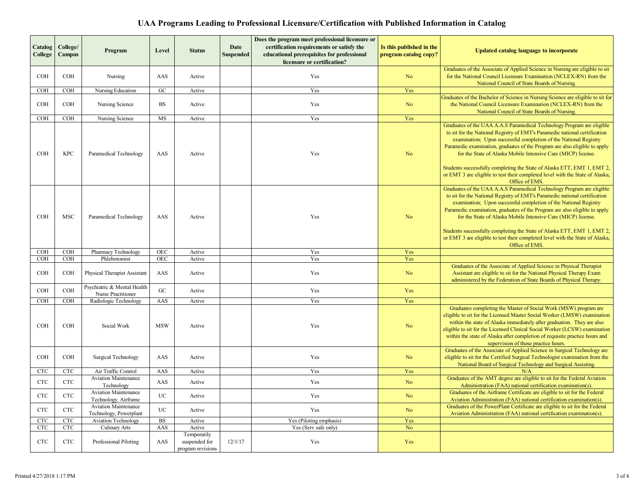| Catalog<br>College | College/<br><b>Campus</b> | Program                                               | Level            | <b>Status</b>                                     | Date<br>Suspended | Does the program meet professional licensure or<br>certification requirements or satisfy the<br>educational prerequisites for professional<br>licensure or certification? | Is this published in the<br>program catalog copy? | <b>Updated catalog language to incorporate</b>                                                                                                                                                                                                                                                                                                                                                                                                                                                                                                        |
|--------------------|---------------------------|-------------------------------------------------------|------------------|---------------------------------------------------|-------------------|---------------------------------------------------------------------------------------------------------------------------------------------------------------------------|---------------------------------------------------|-------------------------------------------------------------------------------------------------------------------------------------------------------------------------------------------------------------------------------------------------------------------------------------------------------------------------------------------------------------------------------------------------------------------------------------------------------------------------------------------------------------------------------------------------------|
| COH                | COH                       | Nursing                                               | AAS              | Active                                            |                   | Yes                                                                                                                                                                       | N <sub>o</sub>                                    | Graduates of the Associate of Applied Science in Nursing are eligible to sit<br>for the National Council Licensure Examination (NCLEX-RN) from the<br>National Council of State Boards of Nursing.                                                                                                                                                                                                                                                                                                                                                    |
| COH                | COH                       | Nursing Education                                     | G <sub>C</sub>   | Active                                            |                   | Yes                                                                                                                                                                       | Yes                                               |                                                                                                                                                                                                                                                                                                                                                                                                                                                                                                                                                       |
| <b>COH</b>         | <b>COH</b>                | Nursing Science                                       | $_{\rm BS}$      | Active                                            |                   | Yes                                                                                                                                                                       | No                                                | Graduates of the Bachelor of Science in Nursing Science are eligible to sit for<br>the National Council Licensure Examination (NCLEX-RN) from the<br>National Council of State Boards of Nursing.                                                                                                                                                                                                                                                                                                                                                     |
| COH                | COH                       | Nursing Science                                       | MS               | Active                                            |                   | Yes                                                                                                                                                                       | Yes                                               |                                                                                                                                                                                                                                                                                                                                                                                                                                                                                                                                                       |
| <b>COH</b>         | <b>KPC</b>                | Paramedical Technology                                | AAS              | Active                                            |                   | Yes                                                                                                                                                                       | N <sub>o</sub>                                    | Graduates of the UAA A.A.S Paramedical Technology Program are eligible<br>to sit for the National Registry of EMT's Paramedic national certification<br>examination; Upon successful completion of the National Registry<br>Paramedic examination, graduates of the Program are also eligible to apply<br>for the State of Alaska Mobile Intensive Care (MICP) license.<br>Students successfully completing the State of Alaska ETT, EMT 1, EMT 2,<br>or EMT 3 are eligible to test their completed level with the State of Alaska,<br>Office of EMS. |
| <b>COH</b>         | <b>MSC</b>                | Paramedical Technology                                | AAS              | Active                                            |                   | Yes                                                                                                                                                                       | No                                                | Graduates of the UAA A.A.S Paramedical Technology Program are eligible<br>to sit for the National Registry of EMT's Paramedic national certification<br>examination; Upon successful completion of the National Registry<br>Paramedic examination, graduates of the Program are also eligible to apply<br>for the State of Alaska Mobile Intensive Care (MICP) license.<br>Students successfully completing the State of Alaska ETT, EMT 1, EMT 2,<br>or EMT 3 are eligible to test their completed level with the State of Alaska,<br>Office of EMS. |
| <b>COH</b>         | <b>COH</b>                | Pharmacy Technology                                   | <b>OEC</b>       | Active                                            |                   | Yes                                                                                                                                                                       | Yes                                               |                                                                                                                                                                                                                                                                                                                                                                                                                                                                                                                                                       |
| COH                | $\overline{\text{COH}}$   | Phlebotomist                                          | OEC              | Active                                            |                   | Yes                                                                                                                                                                       | Yes                                               |                                                                                                                                                                                                                                                                                                                                                                                                                                                                                                                                                       |
| $_{\rm COH}$       | $_{\rm COH}$              | Physical Therapist Assistant                          | AAS              | Active                                            |                   | Yes                                                                                                                                                                       | No                                                | Graduates of the Associate of Applied Science in Physical Therapist<br>Assistant are eligible to sit for the National Physical Therapy Exam<br>administered by the Federation of State Boards of Physical Therapy.                                                                                                                                                                                                                                                                                                                                    |
| COH                | COH                       | Psychiatric & Mental Health<br>Nurse Practitioner     | ${\rm GC}$       | Active                                            |                   | Yes                                                                                                                                                                       | Yes                                               |                                                                                                                                                                                                                                                                                                                                                                                                                                                                                                                                                       |
| COH                | <b>COH</b>                | Radiologic Technology                                 | AAS              | Active                                            |                   | Yes                                                                                                                                                                       | Yes                                               |                                                                                                                                                                                                                                                                                                                                                                                                                                                                                                                                                       |
| COH                | COH                       | Social Work                                           | <b>MSW</b>       | Active                                            |                   | Yes                                                                                                                                                                       | No                                                | Graduates completing the Master of Social Work (MSW) program are<br>eligible to sit for the Licensed Master Social Worker (LMSW) examination<br>within the state of Alaska immediately after graduation. They are also<br>eligible to sit for the Licensed Clinical Social Worker (LCSW) examination<br>within the state of Alaska after completion of requisite practice hours and<br>supervision of those practice hours.                                                                                                                           |
| <b>COH</b>         | <b>COH</b>                | <b>Surgical Technology</b>                            | AAS              | Active                                            |                   | Yes                                                                                                                                                                       | No                                                | Graduates of the Associate of Applied Science in Surgical Technology are<br>eligible to sit for the Certified Surgical Technologist examination from the<br>National Board of Surgical Technology and Surgical Assisting.                                                                                                                                                                                                                                                                                                                             |
| $_{\rm CTC}$       | <b>CTC</b>                | Air Traffic Control                                   | AAS              | Active                                            |                   | Yes                                                                                                                                                                       | Yes                                               | N/A                                                                                                                                                                                                                                                                                                                                                                                                                                                                                                                                                   |
| $_{\rm CTC}$       | <b>CTC</b>                | <b>Aviation Maintenance</b><br>Technology             | AAS              | Active                                            |                   | Yes                                                                                                                                                                       | No                                                | Graduates of the AMT degree are eligible to sit for the Federal Aviation<br>Administration (FAA) national certification examination(s).                                                                                                                                                                                                                                                                                                                                                                                                               |
| $_{\rm CTC}$       | <b>CTC</b>                | <b>Aviation Maintenance</b><br>Technology, Airframe   | $_{\mathrm{UC}}$ | Active                                            |                   | Yes                                                                                                                                                                       | No                                                | Graduates of the Airframe Certificate are eligible to sit for the Federal<br>Aviation Administration (FAA) national certification examination(s).                                                                                                                                                                                                                                                                                                                                                                                                     |
| $_{\rm CTC}$       | <b>CTC</b>                | <b>Aviation Maintenance</b><br>Technology, Powerplant | <b>UC</b>        | Active                                            |                   | Yes                                                                                                                                                                       | $\rm No$                                          | Graduates of the PowerPlant Certificate are eligible to sit for the Federal<br>Aviation Administration (FAA) national certification examination(s)                                                                                                                                                                                                                                                                                                                                                                                                    |
| $_{\rm CTC}$       | CTC                       | <b>Aviation Technology</b>                            | $_{\rm BS}$      | Active                                            |                   | Yes (Piloting emphasis)                                                                                                                                                   | Yes                                               |                                                                                                                                                                                                                                                                                                                                                                                                                                                                                                                                                       |
| CTC                | CTC                       | <b>Culinary Arts</b>                                  | AAS              | Active                                            |                   | Yes (Serv safe only)                                                                                                                                                      | No                                                |                                                                                                                                                                                                                                                                                                                                                                                                                                                                                                                                                       |
| <b>CTC</b>         | CTC                       | Professional Piloting                                 | AAS              | Temporarily<br>suspended for<br>program revisions | 12/1/17           | Yes                                                                                                                                                                       | Yes                                               |                                                                                                                                                                                                                                                                                                                                                                                                                                                                                                                                                       |